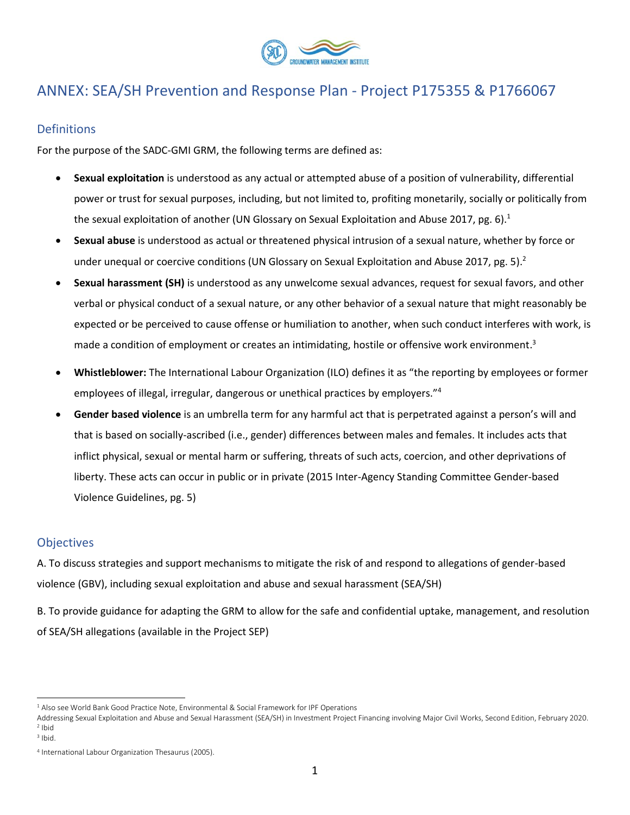

## ANNEX: SEA/SH Prevention and Response Plan - Project P175355 & P1766067

#### **Definitions**

For the purpose of the SADC-GMI GRM, the following terms are defined as:

- **Sexual exploitation** is understood as any actual or attempted abuse of a position of vulnerability, differential power or trust for sexual purposes, including, but not limited to, profiting monetarily, socially or politically from the sexual exploitation of another (UN Glossary on Sexual Exploitation and Abuse 2017, pg. 6).<sup>1</sup>
- **Sexual abuse** is understood as actual or threatened physical intrusion of a sexual nature, whether by force or under unequal or coercive conditions (UN Glossary on Sexual Exploitation and Abuse 2017, pg. 5).<sup>2</sup>
- **Sexual harassment (SH)** is understood as any unwelcome sexual advances, request for sexual favors, and other verbal or physical conduct of a sexual nature, or any other behavior of a sexual nature that might reasonably be expected or be perceived to cause offense or humiliation to another, when such conduct interferes with work, is made a condition of employment or creates an intimidating, hostile or offensive work environment.<sup>3</sup>
- **Whistleblower:** The International Labour Organization (ILO) defines it as "the reporting by employees or former employees of illegal, irregular, dangerous or unethical practices by employers."<sup>4</sup>
- **Gender based violence** is an umbrella term for any harmful act that is perpetrated against a person's will and that is based on socially-ascribed (i.e., gender) differences between males and females. It includes acts that inflict physical, sexual or mental harm or suffering, threats of such acts, coercion, and other deprivations of liberty. These acts can occur in public or in private (2015 Inter-Agency Standing Committee Gender-based Violence Guidelines, pg. 5)

#### **Objectives**

A. To discuss strategies and support mechanisms to mitigate the risk of and respond to allegations of gender-based violence (GBV), including sexual exploitation and abuse and sexual harassment (SEA/SH)

B. To provide guidance for adapting the GRM to allow for the safe and confidential uptake, management, and resolution of SEA/SH allegations (available in the Project SEP)

<sup>&</sup>lt;sup>1</sup> Also see World Bank Good Practice Note, Environmental & Social Framework for IPF Operations

Addressing Sexual Exploitation and Abuse and Sexual Harassment (SEA/SH) in Investment Project Financing involving Major Civil Works, Second Edition, February 2020. 2 Ibid

<sup>3</sup> Ibid.

<sup>4</sup> International Labour Organization Thesaurus (2005).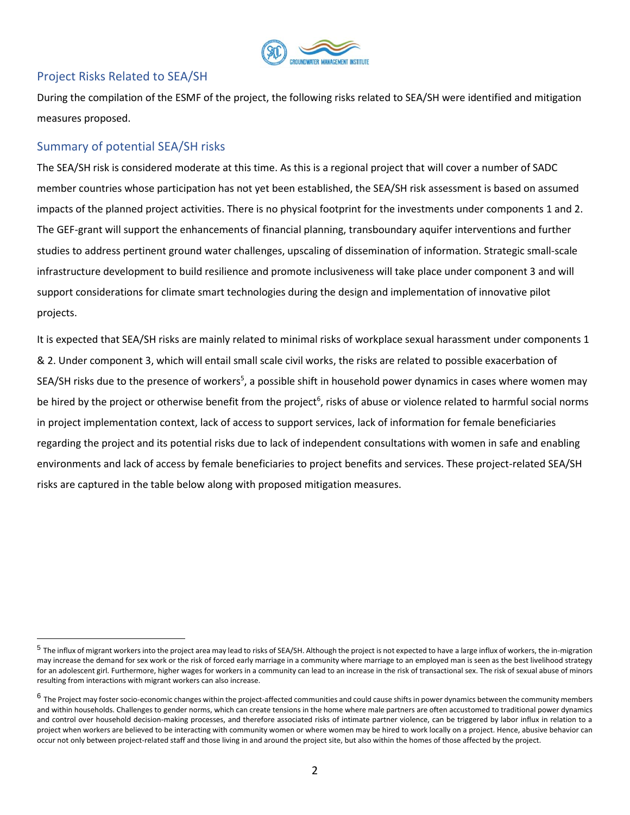

#### Project Risks Related to SEA/SH

During the compilation of the ESMF of the project, the following risks related to SEA/SH were identified and mitigation measures proposed.

### Summary of potential SEA/SH risks

The SEA/SH risk is considered moderate at this time. As this is a regional project that will cover a number of SADC member countries whose participation has not yet been established, the SEA/SH risk assessment is based on assumed impacts of the planned project activities. There is no physical footprint for the investments under components 1 and 2. The GEF-grant will support the enhancements of financial planning, transboundary aquifer interventions and further studies to address pertinent ground water challenges, upscaling of dissemination of information. Strategic small-scale infrastructure development to build resilience and promote inclusiveness will take place under component 3 and will support considerations for climate smart technologies during the design and implementation of innovative pilot projects.

It is expected that SEA/SH risks are mainly related to minimal risks of workplace sexual harassment under components 1 & 2. Under component 3, which will entail small scale civil works, the risks are related to possible exacerbation of SEA/SH risks due to the presence of workers<sup>5</sup>, a possible shift in household power dynamics in cases where women may be hired by the project or otherwise benefit from the project<sup>6</sup>, risks of abuse or violence related to harmful social norms in project implementation context, lack of access to support services, lack of information for female beneficiaries regarding the project and its potential risks due to lack of independent consultations with women in safe and enabling environments and lack of access by female beneficiaries to project benefits and services. These project-related SEA/SH risks are captured in the table below along with proposed mitigation measures.

 $^5$  The influx of migrant workers into the project area may lead to risks of SEA/SH. Although the project is not expected to have a large influx of workers, the in-migration may increase the demand for sex work or the risk of forced early marriage in a community where marriage to an employed man is seen as the best livelihood strategy for an adolescent girl. Furthermore, higher wages for workers in a community can lead to an increase in the risk of transactional sex. The risk of sexual abuse of minors resulting from interactions with migrant workers can also increase.

 $^6$  The Project may foster socio-economic changes within the project-affected communities and could cause shifts in power dynamics between the community members and within households. Challenges to gender norms, which can create tensions in the home where male partners are often accustomed to traditional power dynamics and control over household decision-making processes, and therefore associated risks of intimate partner violence, can be triggered by labor influx in relation to a project when workers are believed to be interacting with community women or where women may be hired to work locally on a project. Hence, abusive behavior can occur not only between project-related staff and those living in and around the project site, but also within the homes of those affected by the project.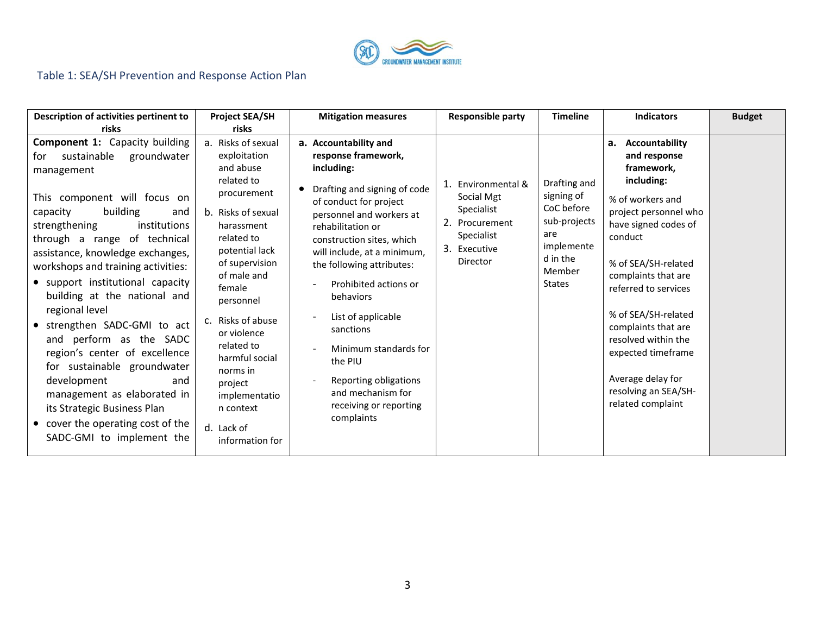

# Table 1: SEA/SH Prevention and Response Action Plan

| Description of activities pertinent to<br>risks                                                                                                                                                                                                                                                                                                                                                                                                                                                                                                                                                                                                                           | <b>Project SEA/SH</b><br>risks                                                                                                                                                                                                                                                                                                                                     | <b>Mitigation measures</b>                                                                                                                                                                                                                                                                                                                                                                                                                                                                                 | <b>Responsible party</b>                                                                                   | <b>Timeline</b>                                                                                                      | <b>Indicators</b>                                                                                                                                                                                                                                                                                                                                                                | <b>Budget</b> |
|---------------------------------------------------------------------------------------------------------------------------------------------------------------------------------------------------------------------------------------------------------------------------------------------------------------------------------------------------------------------------------------------------------------------------------------------------------------------------------------------------------------------------------------------------------------------------------------------------------------------------------------------------------------------------|--------------------------------------------------------------------------------------------------------------------------------------------------------------------------------------------------------------------------------------------------------------------------------------------------------------------------------------------------------------------|------------------------------------------------------------------------------------------------------------------------------------------------------------------------------------------------------------------------------------------------------------------------------------------------------------------------------------------------------------------------------------------------------------------------------------------------------------------------------------------------------------|------------------------------------------------------------------------------------------------------------|----------------------------------------------------------------------------------------------------------------------|----------------------------------------------------------------------------------------------------------------------------------------------------------------------------------------------------------------------------------------------------------------------------------------------------------------------------------------------------------------------------------|---------------|
| <b>Component 1: Capacity building</b><br>sustainable<br>for<br>groundwater<br>management<br>This component will focus on<br>building<br>capacity<br>and<br>institutions<br>strengthening<br>through a range of technical<br>assistance, knowledge exchanges,<br>workshops and training activities:<br>• support institutional capacity<br>building at the national and<br>regional level<br>• strengthen SADC-GMI to act<br>and perform as the SADC<br>region's center of excellence<br>for sustainable groundwater<br>development<br>and<br>management as elaborated in<br>its Strategic Business Plan<br>• cover the operating cost of the<br>SADC-GMI to implement the | a. Risks of sexual<br>exploitation<br>and abuse<br>related to<br>procurement<br>b. Risks of sexual<br>harassment<br>related to<br>potential lack<br>of supervision<br>of male and<br>female<br>personnel<br>c. Risks of abuse<br>or violence<br>related to<br>harmful social<br>norms in<br>project<br>implementatio<br>n context<br>d. Lack of<br>information for | a. Accountability and<br>response framework,<br>including:<br>Drafting and signing of code<br>$\bullet$<br>of conduct for project<br>personnel and workers at<br>rehabilitation or<br>construction sites, which<br>will include, at a minimum,<br>the following attributes:<br>Prohibited actions or<br>behaviors<br>List of applicable<br>sanctions<br>Minimum standards for<br>the PIU<br>Reporting obligations<br>$\overline{\phantom{a}}$<br>and mechanism for<br>receiving or reporting<br>complaints | Environmental &<br>Social Mgt<br>Specialist<br>2. Procurement<br>Specialist<br>3.<br>Executive<br>Director | Drafting and<br>signing of<br>CoC before<br>sub-projects<br>are<br>implemente<br>d in the<br>Member<br><b>States</b> | a. Accountability<br>and response<br>framework,<br>including:<br>% of workers and<br>project personnel who<br>have signed codes of<br>conduct<br>% of SEA/SH-related<br>complaints that are<br>referred to services<br>% of SEA/SH-related<br>complaints that are<br>resolved within the<br>expected timeframe<br>Average delay for<br>resolving an SEA/SH-<br>related complaint |               |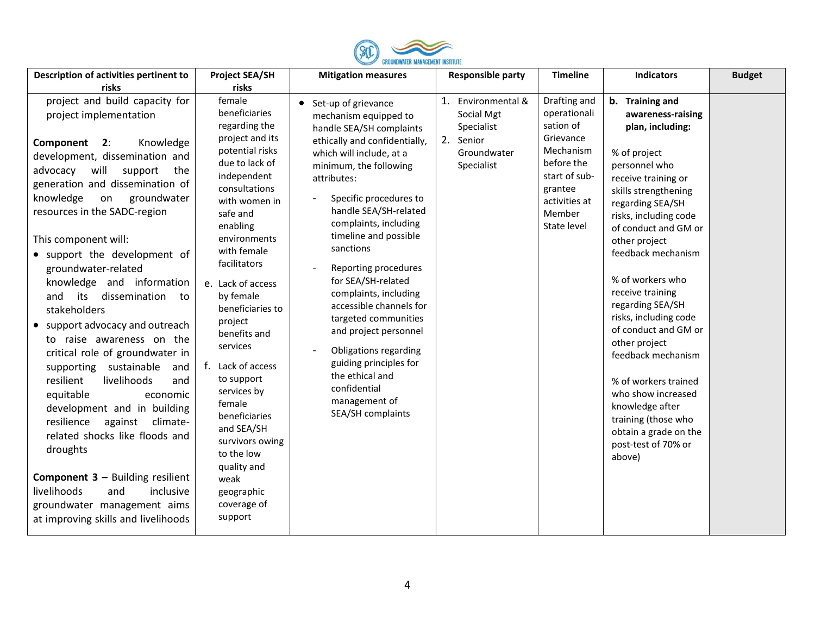

| Description of activities pertinent to                                                                                                                                                                                                                                                                                                                                                                                                                                                                                                                                                                                                                                                                                                                                                                                                                                                                       | <b>Project SEA/SH</b>                                                                                                                                                                                                                                                                                                                                                                                                                                                                                            | <b>Mitigation measures</b>                                                                                                                                                                                                                                                                                                                                                                                                                                                                                                                                                        | <b>Responsible party</b>                                                                 | <b>Timeline</b>                                                                                                                                         | <b>Indicators</b>                                                                                                                                                                                                                                                                                                                                                                                                                                                                                                                                          | <b>Budget</b> |
|--------------------------------------------------------------------------------------------------------------------------------------------------------------------------------------------------------------------------------------------------------------------------------------------------------------------------------------------------------------------------------------------------------------------------------------------------------------------------------------------------------------------------------------------------------------------------------------------------------------------------------------------------------------------------------------------------------------------------------------------------------------------------------------------------------------------------------------------------------------------------------------------------------------|------------------------------------------------------------------------------------------------------------------------------------------------------------------------------------------------------------------------------------------------------------------------------------------------------------------------------------------------------------------------------------------------------------------------------------------------------------------------------------------------------------------|-----------------------------------------------------------------------------------------------------------------------------------------------------------------------------------------------------------------------------------------------------------------------------------------------------------------------------------------------------------------------------------------------------------------------------------------------------------------------------------------------------------------------------------------------------------------------------------|------------------------------------------------------------------------------------------|---------------------------------------------------------------------------------------------------------------------------------------------------------|------------------------------------------------------------------------------------------------------------------------------------------------------------------------------------------------------------------------------------------------------------------------------------------------------------------------------------------------------------------------------------------------------------------------------------------------------------------------------------------------------------------------------------------------------------|---------------|
| risks                                                                                                                                                                                                                                                                                                                                                                                                                                                                                                                                                                                                                                                                                                                                                                                                                                                                                                        | risks                                                                                                                                                                                                                                                                                                                                                                                                                                                                                                            |                                                                                                                                                                                                                                                                                                                                                                                                                                                                                                                                                                                   |                                                                                          |                                                                                                                                                         |                                                                                                                                                                                                                                                                                                                                                                                                                                                                                                                                                            |               |
| project and build capacity for<br>project implementation<br>2:<br>Knowledge<br>Component<br>development, dissemination and<br>will<br>support<br>advocacy<br>the<br>generation and dissemination of<br>knowledge<br>groundwater<br>on<br>resources in the SADC-region<br>This component will:<br>• support the development of<br>groundwater-related<br>knowledge and information<br>dissemination<br>and<br>its<br>to<br>stakeholders<br>• support advocacy and outreach<br>to raise awareness on the<br>critical role of groundwater in<br>supporting sustainable<br>and<br>livelihoods<br>resilient<br>and<br>equitable<br>economic<br>development and in building<br>resilience<br>against<br>climate-<br>related shocks like floods and<br>droughts<br><b>Component 3 - Building resilient</b><br>livelihoods<br>inclusive<br>and<br>groundwater management aims<br>at improving skills and livelihoods | female<br>beneficiaries<br>regarding the<br>project and its<br>potential risks<br>due to lack of<br>independent<br>consultations<br>with women in<br>safe and<br>enabling<br>environments<br>with female<br>facilitators<br>e. Lack of access<br>by female<br>beneficiaries to<br>project<br>benefits and<br>services<br>f. Lack of access<br>to support<br>services by<br>female<br>beneficiaries<br>and SEA/SH<br>survivors owing<br>to the low<br>quality and<br>weak<br>geographic<br>coverage of<br>support | • Set-up of grievance<br>mechanism equipped to<br>handle SEA/SH complaints<br>ethically and confidentially,<br>which will include, at a<br>minimum, the following<br>attributes:<br>Specific procedures to<br>handle SEA/SH-related<br>complaints, including<br>timeline and possible<br>sanctions<br>Reporting procedures<br>for SEA/SH-related<br>complaints, including<br>accessible channels for<br>targeted communities<br>and project personnel<br>Obligations regarding<br>guiding principles for<br>the ethical and<br>confidential<br>management of<br>SEA/SH complaints | 1. Environmental &<br>Social Mgt<br>Specialist<br>2. Senior<br>Groundwater<br>Specialist | Drafting and<br>operationali<br>sation of<br>Grievance<br>Mechanism<br>before the<br>start of sub-<br>grantee<br>activities at<br>Member<br>State level | b. Training and<br>awareness-raising<br>plan, including:<br>% of project<br>personnel who<br>receive training or<br>skills strengthening<br>regarding SEA/SH<br>risks, including code<br>of conduct and GM or<br>other project<br>feedback mechanism<br>% of workers who<br>receive training<br>regarding SEA/SH<br>risks, including code<br>of conduct and GM or<br>other project<br>feedback mechanism<br>% of workers trained<br>who show increased<br>knowledge after<br>training (those who<br>obtain a grade on the<br>post-test of 70% or<br>above) |               |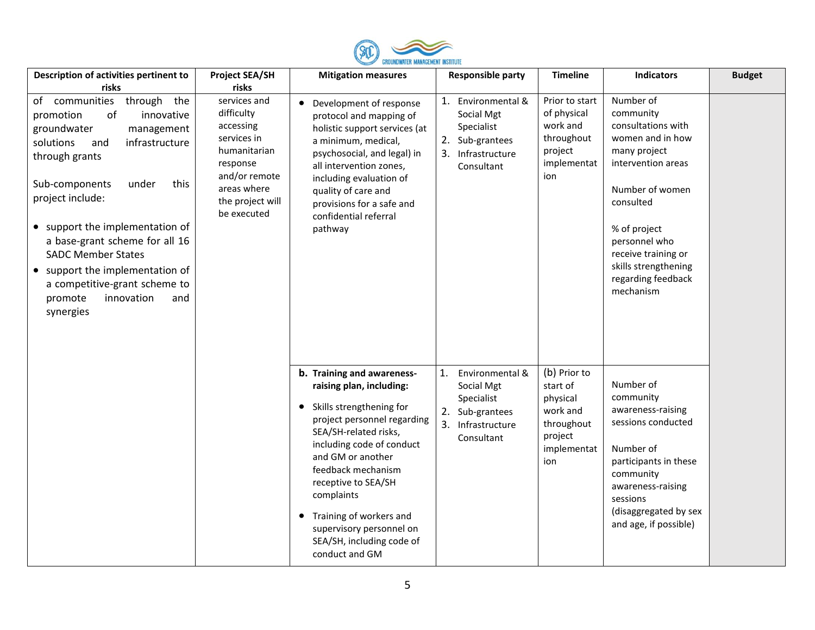

| Description of activities pertinent to                                                                                                                                                                                                                                                                                                                                                                                        | <b>Project SEA/SH</b>                                                                                                                                 | <b>Mitigation measures</b>                                                                                                                                                                                                                                                                                                                                                              | <b>Responsible party</b>                                                                                      | <b>Timeline</b>                                                                                 | <b>Indicators</b>                                                                                                                                                                                                                                         | <b>Budget</b> |
|-------------------------------------------------------------------------------------------------------------------------------------------------------------------------------------------------------------------------------------------------------------------------------------------------------------------------------------------------------------------------------------------------------------------------------|-------------------------------------------------------------------------------------------------------------------------------------------------------|-----------------------------------------------------------------------------------------------------------------------------------------------------------------------------------------------------------------------------------------------------------------------------------------------------------------------------------------------------------------------------------------|---------------------------------------------------------------------------------------------------------------|-------------------------------------------------------------------------------------------------|-----------------------------------------------------------------------------------------------------------------------------------------------------------------------------------------------------------------------------------------------------------|---------------|
| risks                                                                                                                                                                                                                                                                                                                                                                                                                         | risks                                                                                                                                                 |                                                                                                                                                                                                                                                                                                                                                                                         |                                                                                                               |                                                                                                 |                                                                                                                                                                                                                                                           |               |
| of communities<br>through the<br>of<br>innovative<br>promotion<br>groundwater<br>management<br>infrastructure<br>solutions<br>and<br>through grants<br>this<br>Sub-components<br>under<br>project include:<br>• support the implementation of<br>a base-grant scheme for all 16<br><b>SADC Member States</b><br>• support the implementation of<br>a competitive-grant scheme to<br>promote<br>innovation<br>and<br>synergies | services and<br>difficulty<br>accessing<br>services in<br>humanitarian<br>response<br>and/or remote<br>areas where<br>the project will<br>be executed | Development of response<br>protocol and mapping of<br>holistic support services (at<br>a minimum, medical,<br>psychosocial, and legal) in<br>all intervention zones,<br>including evaluation of<br>quality of care and<br>provisions for a safe and<br>confidential referral<br>pathway                                                                                                 | 1.<br>Environmental &<br>Social Mgt<br>Specialist<br>2. Sub-grantees<br>Infrastructure<br>3.<br>Consultant    | Prior to start<br>of physical<br>work and<br>throughout<br>project<br>implementat<br>ion        | Number of<br>community<br>consultations with<br>women and in how<br>many project<br>intervention areas<br>Number of women<br>consulted<br>% of project<br>personnel who<br>receive training or<br>skills strengthening<br>regarding feedback<br>mechanism |               |
|                                                                                                                                                                                                                                                                                                                                                                                                                               |                                                                                                                                                       | b. Training and awareness-<br>raising plan, including:<br>Skills strengthening for<br>$\bullet$<br>project personnel regarding<br>SEA/SH-related risks,<br>including code of conduct<br>and GM or another<br>feedback mechanism<br>receptive to SEA/SH<br>complaints<br>Training of workers and<br>$\bullet$<br>supervisory personnel on<br>SEA/SH, including code of<br>conduct and GM | Environmental &<br>1.<br>Social Mgt<br>Specialist<br>2.<br>Sub-grantees<br>3.<br>Infrastructure<br>Consultant | (b) Prior to<br>start of<br>physical<br>work and<br>throughout<br>project<br>implementat<br>ion | Number of<br>community<br>awareness-raising<br>sessions conducted<br>Number of<br>participants in these<br>community<br>awareness-raising<br>sessions<br>(disaggregated by sex<br>and age, if possible)                                                   |               |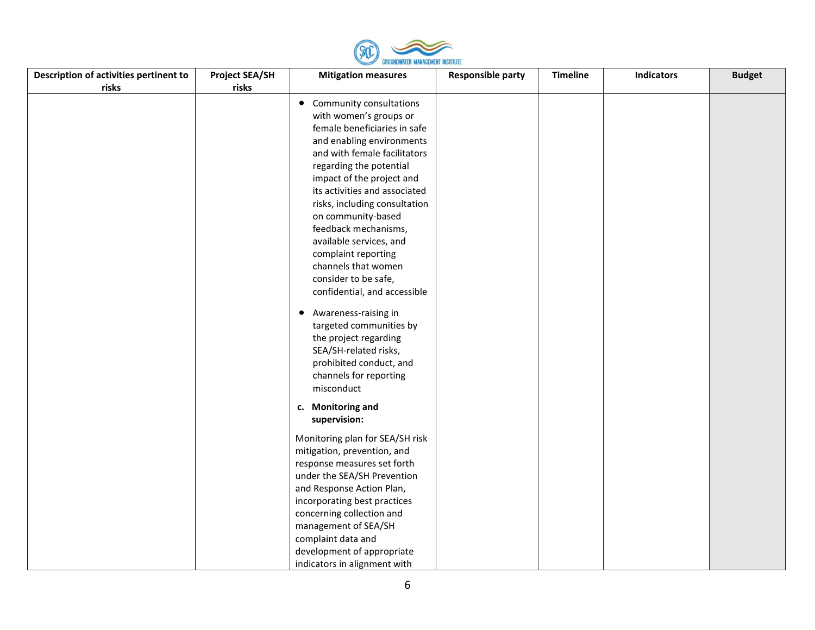

| Description of activities pertinent to | <b>Project SEA/SH</b> | <b>Mitigation measures</b>      | <b>Responsible party</b> | <b>Timeline</b> | <b>Indicators</b> | <b>Budget</b> |
|----------------------------------------|-----------------------|---------------------------------|--------------------------|-----------------|-------------------|---------------|
| risks                                  | risks                 |                                 |                          |                 |                   |               |
|                                        |                       | • Community consultations       |                          |                 |                   |               |
|                                        |                       | with women's groups or          |                          |                 |                   |               |
|                                        |                       | female beneficiaries in safe    |                          |                 |                   |               |
|                                        |                       | and enabling environments       |                          |                 |                   |               |
|                                        |                       | and with female facilitators    |                          |                 |                   |               |
|                                        |                       | regarding the potential         |                          |                 |                   |               |
|                                        |                       | impact of the project and       |                          |                 |                   |               |
|                                        |                       | its activities and associated   |                          |                 |                   |               |
|                                        |                       | risks, including consultation   |                          |                 |                   |               |
|                                        |                       | on community-based              |                          |                 |                   |               |
|                                        |                       | feedback mechanisms,            |                          |                 |                   |               |
|                                        |                       | available services, and         |                          |                 |                   |               |
|                                        |                       | complaint reporting             |                          |                 |                   |               |
|                                        |                       | channels that women             |                          |                 |                   |               |
|                                        |                       | consider to be safe,            |                          |                 |                   |               |
|                                        |                       | confidential, and accessible    |                          |                 |                   |               |
|                                        |                       | • Awareness-raising in          |                          |                 |                   |               |
|                                        |                       | targeted communities by         |                          |                 |                   |               |
|                                        |                       | the project regarding           |                          |                 |                   |               |
|                                        |                       | SEA/SH-related risks,           |                          |                 |                   |               |
|                                        |                       | prohibited conduct, and         |                          |                 |                   |               |
|                                        |                       | channels for reporting          |                          |                 |                   |               |
|                                        |                       | misconduct                      |                          |                 |                   |               |
|                                        |                       |                                 |                          |                 |                   |               |
|                                        |                       | c. Monitoring and               |                          |                 |                   |               |
|                                        |                       | supervision:                    |                          |                 |                   |               |
|                                        |                       | Monitoring plan for SEA/SH risk |                          |                 |                   |               |
|                                        |                       | mitigation, prevention, and     |                          |                 |                   |               |
|                                        |                       | response measures set forth     |                          |                 |                   |               |
|                                        |                       | under the SEA/SH Prevention     |                          |                 |                   |               |
|                                        |                       | and Response Action Plan,       |                          |                 |                   |               |
|                                        |                       | incorporating best practices    |                          |                 |                   |               |
|                                        |                       | concerning collection and       |                          |                 |                   |               |
|                                        |                       | management of SEA/SH            |                          |                 |                   |               |
|                                        |                       | complaint data and              |                          |                 |                   |               |
|                                        |                       | development of appropriate      |                          |                 |                   |               |
|                                        |                       | indicators in alignment with    |                          |                 |                   |               |